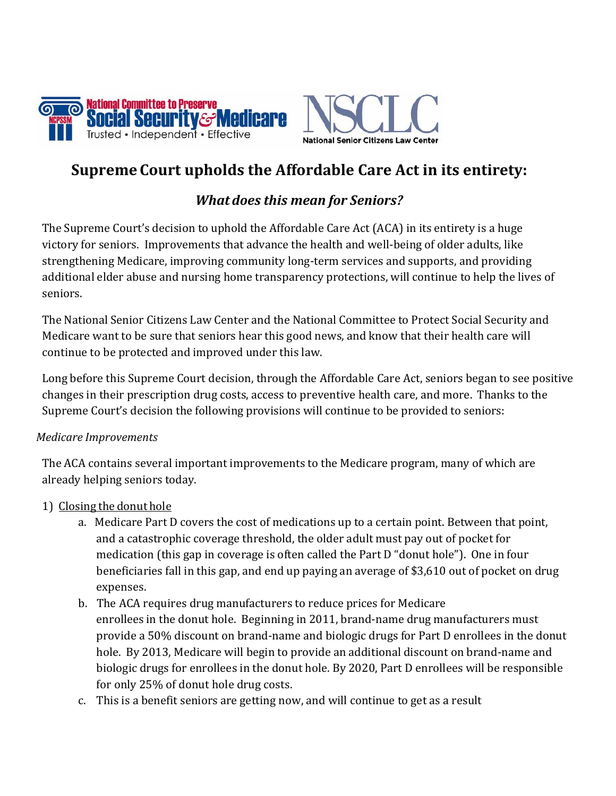

# Supreme Court upholds the Affordable Care Act in its entirety:

# What does this mean for Seniors?

The Supreme Court's decision to uphold the Affordable Care Act (ACA) in its entirety is a huge victory for seniors. Improvements that advance the health and well‐being of older adults, like strengthening Medicare, improving community long‐term services and supports, and providing additional elder abuse and nursing home transparency protections, will continue to help the lives of seniors.

The National Senior Citizens Law Center and the National Committee to Protect Social Security and Medicare want to be sure that seniors hear this good news, and know that their health care will continue to be protected and improved under this law.

Long before this Supreme Court decision, through the Affordable Care Act, seniors began to see positive changes in their prescription drug costs, access to preventive health care, and more. Thanks to the Supreme Court's decision the following provisions will continue to be provided to seniors:

## Medicare Improvements

The ACA contains several important improvements to the Medicare program, many of which are already helping seniors today.

## 1) Closing the donut hole

- a. Medicare Part D covers the cost of medications up to a certain point. Between that point, and a catastrophic coverage threshold, the older adult must pay out of pocket for medication (this gap in coverage is often called the Part D "donut hole"). One in four beneficiaries fall in this gap, and end up paying an average of \$3,610 out of pocket on drug expenses.
- b. The ACA requires drug manufacturers to reduce prices for Medicare enrollees in the donut hole. Beginning in 2011, brand‐name drug manufacturers must provide a 50% discount on brand‐name and biologic drugs for Part D enrollees in the donut hole. By 2013, Medicare will begin to provide an additional discount on brand‐name and biologic drugs for enrollees in the donut hole. By 2020, Part D enrollees will be responsible for only 25% of donut hole drug costs.
- c. This is a benefit seniors are getting now, and will continue to get as a result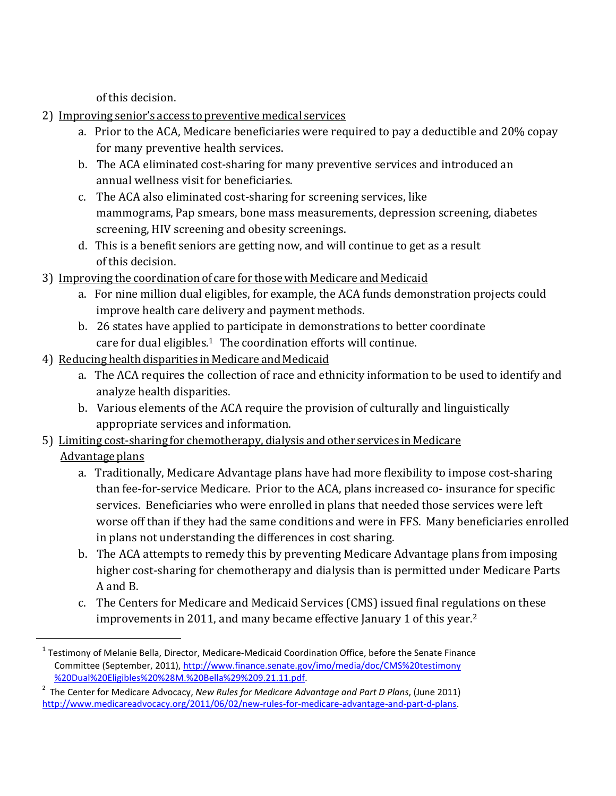of this decision.

- 2) Improving senior's access to preventive medical services
	- a. Prior to the ACA, Medicare beneficiaries were required to pay a deductible and 20% copay for many preventive health services.
	- b. The ACA eliminated cost‐sharing for many preventive services and introduced an annual wellness visit for beneficiaries.
	- c. The ACA also eliminated cost‐sharing for screening services, like mammograms, Pap smears, bone mass measurements, depression screening, diabetes screening, HIV screening and obesity screenings.
	- d. This is a benefit seniors are getting now, and will continue to get as a result of this decision.
- 3) Improving the coordination of care for those with Medicare and Medicaid
	- a. For nine million dual eligibles, for example, the ACA funds demonstration projects could improve health care delivery and payment methods.
	- b. 26 states have applied to participate in demonstrations to better coordinate care for dual eligibles. $1$  The coordination efforts will continue.
- 4) Reducing health disparities in Medicare and Medicaid

- a. The ACA requires the collection of race and ethnicity information to be used to identify and analyze health disparities.
- b. Various elements of the ACA require the provision of culturally and linguistically appropriate services and information.
- 5) Limiting cost-sharing for chemotherapy, dialysis and other services in Medicare Advantage plans
	- a. Traditionally, Medicare Advantage plans have had more flexibility to impose cost‐sharing than fee-for-service Medicare. Prior to the ACA, plans increased co- insurance for specific services. Beneficiaries who were enrolled in plans that needed those services were left worse off than if they had the same conditions and were in FFS. Many beneficiaries enrolled in plans not understanding the differences in cost sharing.
	- b. The ACA attempts to remedy this by preventing Medicare Advantage plans from imposing higher cost-sharing for chemotherapy and dialysis than is permitted under Medicare Parts A and B.
	- c. The Centers for Medicare and Medicaid Services (CMS) issued final regulations on these improvements in 2011, and many became effective January 1 of this year.<sup>2</sup>

 $^1$  Testimony of Melanie Bella, Director, Medicare-Medicaid Coordination Office, before the Senate Finance Committee (September, 2011), http://www.finance.senate.gov/imo/media/doc/CMS%20testimony %20Dual%20Eligibles%20%28M.%20Bella%29%209.21.11.pdf.

 $2$  The Center for Medicare Advocacy, New Rules for Medicare Advantage and Part D Plans, (June 2011) http://www.medicareadvocacy.org/2011/06/02/new-rules-for-medicare-advantage-and-part-d-plans.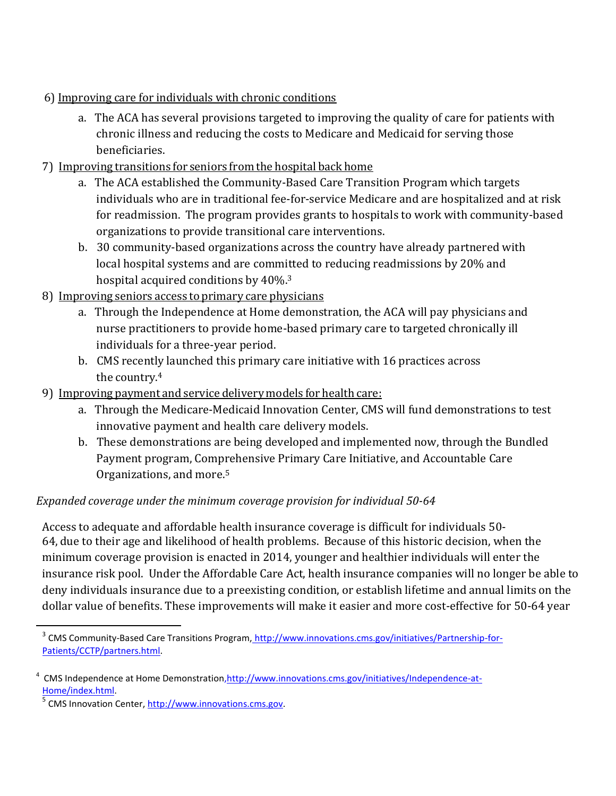- 6) Improving care for individuals with chronic conditions
	- a. The ACA has several provisions targeted to improving the quality of care for patients with chronic illness and reducing the costs to Medicare and Medicaid for serving those beneficiaries.
- 7) Improving transitions for seniors from the hospital back home
	- a. The ACA established the Community‐Based Care Transition Program which targets individuals who are in traditional fee‐for‐service Medicare and are hospitalized and at risk for readmission. The program provides grants to hospitals to work with community‐based organizations to provide transitional care interventions.
	- b. 30 community‐based organizations across the country have already partnered with local hospital systems and are committed to reducing readmissions by 20% and hospital acquired conditions by 40%.<sup>3</sup>
- 8) Improving seniors access to primary care physicians
	- a. Through the Independence at Home demonstration, the ACA will pay physicians and nurse practitioners to provide home‐based primary care to targeted chronically ill individuals for a three‐year period.
	- b. CMS recently launched this primary care initiative with 16 practices across the country.<sup>4</sup>
- 9) Improving payment and service delivery models for health care:
	- a. Through the Medicare‐Medicaid Innovation Center, CMS will fund demonstrations to test innovative payment and health care delivery models.
	- b. These demonstrations are being developed and implemented now, through the Bundled Payment program, Comprehensive Primary Care Initiative, and Accountable Care Organizations, and more.<sup>5</sup>

# Expanded coverage under the minimum coverage provision for individual 50-64

Access to adequate and affordable health insurance coverage is difficult for individuals 50‐ 64, due to their age and likelihood of health problems. Because of this historic decision, when the minimum coverage provision is enacted in 2014, younger and healthier individuals will enter the insurance risk pool. Under the Affordable Care Act, health insurance companies will no longer be able to deny individuals insurance due to a preexisting condition, or establish lifetime and annual limits on the dollar value of benefits. These improvements will make it easier and more cost-effective for 50-64 year

l

<sup>&</sup>lt;sup>3</sup> CMS Community-Based Care Transitions Program, http://www.innovations.cms.gov/initiatives/Partnership-for-Patients/CCTP/partners.html.

CMS Independence at Home Demonstration,http://www.innovations.cms.gov/initiatives/Independence-at-Home/index.html.

<sup>&</sup>lt;sup>5</sup> CMS Innovation Center, http://www.innovations.cms.gov.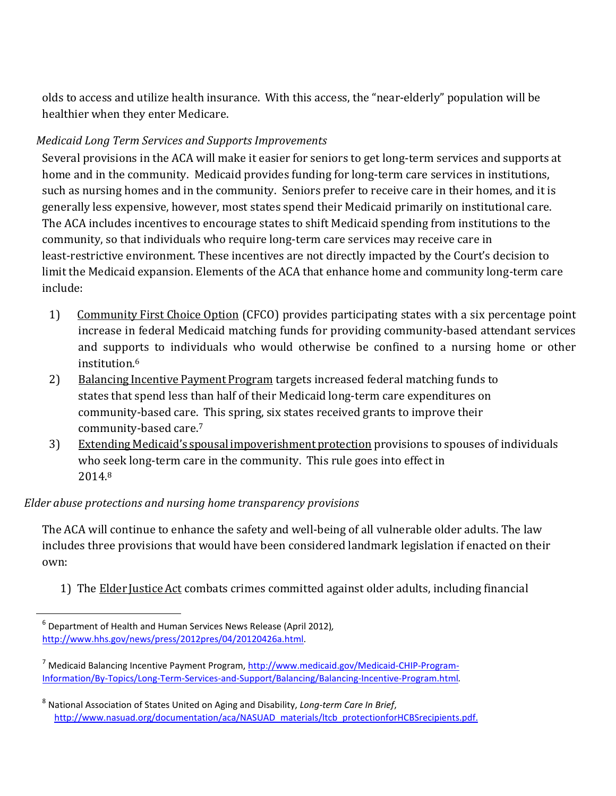olds to access and utilize health insurance. With this access, the "near‐elderly" population will be healthier when they enter Medicare.

# Medicaid Long Term Services and Supports Improvements

Several provisions in the ACA will make it easier for seniors to get long-term services and supports at home and in the community. Medicaid provides funding for long-term care services in institutions, such as nursing homes and in the community. Seniors prefer to receive care in their homes, and it is generally less expensive, however, most states spend their Medicaid primarily on institutional care. The ACA includes incentives to encourage states to shift Medicaid spending from institutions to the community, so that individuals who require long‐term care services may receive care in least-restrictive environment. These incentives are not directly impacted by the Court's decision to limit the Medicaid expansion. Elements of the ACA that enhance home and community long‐term care include:

- 1) Community First Choice Option (CFCO) provides participating states with a six percentage point increase in federal Medicaid matching funds for providing community-based attendant services and supports to individuals who would otherwise be confined to a nursing home or other institution.<sup>6</sup>
- 2) Balancing Incentive Payment Program targets increased federal matching funds to states that spend less than half of their Medicaid long‐term care expenditures on community‐based care. This spring, six states received grants to improve their community‐based care.<sup>7</sup>
- 3) Extending Medicaid's spousal impoverishment protection provisions to spouses of individuals who seek long-term care in the community. This rule goes into effect in 2014.<sup>8</sup>

## Elder abuse protections and nursing home transparency provisions

The ACA will continue to enhance the safety and well-being of all vulnerable older adults. The law includes three provisions that would have been considered landmark legislation if enacted on their own:

1) The Elder Justice Act combats crimes committed against older adults, including financial

l

 $^6$  Department of Health and Human Services News Release (April 2012), http://www.hhs.gov/news/press/2012pres/04/20120426a.html.

<sup>&</sup>lt;sup>7</sup> Medicaid Balancing Incentive Payment Program, http://www.medicaid.gov/Medicaid-CHIP-Program-Information/By‐Topics/Long‐Term‐Services‐and‐Support/Balancing/Balancing‐Incentive‐Program.html.

<sup>&</sup>lt;sup>8</sup> National Association of States United on Aging and Disability, Long-term Care In Brief, http://www.nasuad.org/documentation/aca/NASUAD\_materials/ltcb\_protectionforHCBSrecipients.pdf.